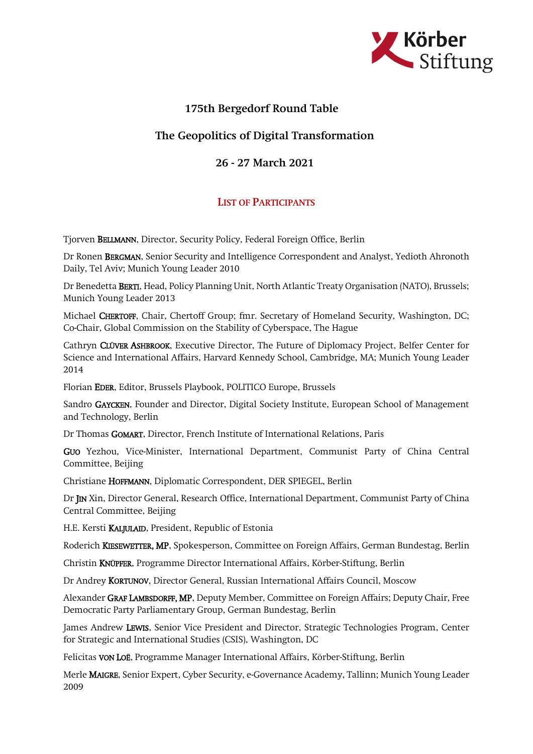

## 175th Bergedorf Round Table

## The Geopolitics of Digital Transformation

## 26 - 27 March 2021

## LIST OF PARTICIPANTS

Tjorven BELLMANN, Director, Security Policy, Federal Foreign Office, Berlin

Dr Ronen BERGMAN, Senior Security and Intelligence Correspondent and Analyst, Yedioth Ahronoth Daily, Tel Aviv; Munich Young Leader 2010

Dr Benedetta BERTI, Head, Policy Planning Unit, North Atlantic Treaty Organisation (NATO), Brussels; Munich Young Leader 2013

Michael CHERTOFF, Chair, Chertoff Group; fmr. Secretary of Homeland Security, Washington, DC; Co-Chair, Global Commission on the Stability of Cyberspace, The Hague

Cathryn CLÜVER ASHBROOK, Executive Director, The Future of Diplomacy Project, Belfer Center for Science and International Affairs, Harvard Kennedy School, Cambridge, MA; Munich Young Leader 2014

Florian EDER, Editor, Brussels Playbook, POLITICO Europe, Brussels

Sandro GAYCKEN, Founder and Director, Digital Society Institute, European School of Management and Technology, Berlin

Dr Thomas GOMART, Director, French Institute of International Relations, Paris

GUO Yezhou, Vice-Minister, International Department, Communist Party of China Central Committee, Beijing

Christiane HOFFMANN, Diplomatic Correspondent, DER SPIEGEL, Berlin

Dr JIN Xin, Director General, Research Office, International Department, Communist Party of China Central Committee, Beijing

H.E. Kersti KALJULAID, President, Republic of Estonia

Roderich KIESEWETTER, MP, Spokesperson, Committee on Foreign Affairs, German Bundestag, Berlin

Christin KNÜPFER, Programme Director International Affairs, Körber-Stiftung, Berlin

Dr Andrey KORTUNOV, Director General, Russian International Affairs Council, Moscow

Alexander GRAF LAMBSDORFF, MP, Deputy Member, Committee on Foreign Affairs; Deputy Chair, Free Democratic Party Parliamentary Group, German Bundestag, Berlin

James Andrew LEWIS, Senior Vice President and Director, Strategic Technologies Program, Center for Strategic and International Studies (CSIS), Washington, DC

Felicitas VON LOË, Programme Manager International Affairs, Körber-Stiftung, Berlin

Merle MAIGRE, Senior Expert, Cyber Security, e-Governance Academy, Tallinn; Munich Young Leader 2009